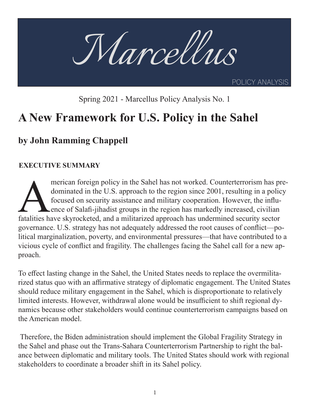

Spring 2021 - Marcellus Policy Analysis No. 1

# **A New Framework for U.S. Policy in the Sahel**

# **by John Ramming Chappell**

# **EXECUTIVE SUMMARY**

merican foreign policy in the Sahel has not worked. Counterterrorism has pre-<br>dominated in the U.S. approach to the region since 2001, resulting in a policy<br>focused on security assistance and military cooperation. However, dominated in the U.S. approach to the region since 2001, resulting in a policy focused on security assistance and military cooperation. However, the influence of Salafi-jihadist groups in the region has markedly increased, civilian governance. U.S. strategy has not adequately addressed the root causes of conflict—political marginalization, poverty, and environmental pressures—that have contributed to a vicious cycle of conflict and fragility. The challenges facing the Sahel call for a new approach.

To effect lasting change in the Sahel, the United States needs to replace the overmilitarized status quo with an affirmative strategy of diplomatic engagement. The United States should reduce military engagement in the Sahel, which is disproportionate to relatively limited interests. However, withdrawal alone would be insufficient to shift regional dynamics because other stakeholders would continue counterterrorism campaigns based on the American model.

 Therefore, the Biden administration should implement the Global Fragility Strategy in the Sahel and phase out the Trans-Sahara Counterterrorism Partnership to right the balance between diplomatic and military tools. The United States should work with regional stakeholders to coordinate a broader shift in its Sahel policy.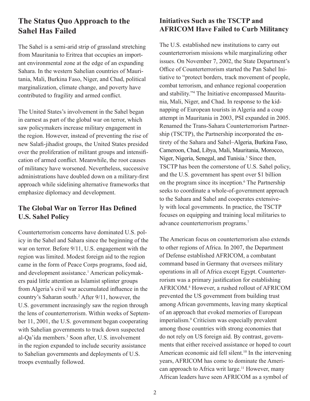# **The Status Quo Approach to the Sahel Has Failed**

The Sahel is a semi-arid strip of grassland stretching from Mauritania to Eritrea that occupies an important environmental zone at the edge of an expanding Sahara. In the western Sahelian countries of Mauritania, Mali, Burkina Faso, Niger, and Chad, political marginalization, climate change, and poverty have contributed to fragility and armed conflict.

The United States's involvement in the Sahel began in earnest as part of the global war on terror, which saw policymakers increase military engagement in the region. However, instead of preventing the rise of new Salafi-jihadist groups, the United States presided over the proliferation of militant groups and intensification of armed conflict. Meanwhile, the root causes of militancy have worsened. Nevertheless, successive administrations have doubled down on a military-first approach while sidelining alternative frameworks that emphasize diplomacy and development.

## **The Global War on Terror Has Defined U.S. Sahel Policy**

Counterterrorism concerns have dominated U.S. policy in the Sahel and Sahara since the beginning of the war on terror. Before 9/11, U.S. engagement with the region was limited. Modest foreign aid to the region came in the form of Peace Corps programs, food aid, and development assistance.<sup>1</sup> American policymakers paid little attention as Islamist splinter groups from Algeria's civil war accumulated influence in the country's Saharan south.<sup>2</sup> After 9/11, however, the U.S. government increasingly saw the region through the lens of counterterrorism. Within weeks of September 11, 2001, the U.S. government began cooperating with Sahelian governments to track down suspected al-Qa'ida members.<sup>3</sup> Soon after, U.S. involvement in the region expanded to include security assistance to Sahelian governments and deployments of U.S. troops eventually followed.

# **Initiatives Such as the TSCTP and AFRICOM Have Failed to Curb Militancy**

The U.S. established new institutions to carry out counterterrorism missions while marginalizing other issues. On November 7, 2002, the State Department's Office of Counterterrorism started the Pan Sahel Initiative to "protect borders, track movement of people, combat terrorism, and enhance regional cooperation and stability."<sup>4</sup> The Initiative encompassed Mauritania, Mali, Niger, and Chad. In response to the kidnapping of European tourists in Algeria and a coup attempt in Mauritania in 2003, PSI expanded in 2005. Renamed the Trans-Sahara Counterterrorism Partnership (TSCTP), the Partnership incorporated the entirety of the Sahara and Sahel–Algeria, Burkina Faso, Cameroon, Chad, Libya, Mali, Mauritania, Morocco, Niger, Nigeria, Senegal, and Tunisia.<sup>5</sup> Since then, TSCTP has been the cornerstone of U.S. Sahel policy, and the U.S. government has spent over \$1 billion on the program since its inception.<sup>6</sup> The Partnership seeks to coordinate a whole-of-government approach to the Sahara and Sahel and cooperates extensively with local governments. In practice, the TSCTP focuses on equipping and training local militaries to advance counterterrorism programs.<sup>7</sup>

The American focus on counterterrorism also extends to other regions of Africa. In 2007, the Department of Defense established AFRICOM, a combatant command based in Germany that oversees military operations in all of Africa except Egypt. Counterterrorism was a primary justification for establishing AFRICOM.<sup>8</sup> However, a rushed rollout of AFRICOM prevented the US government from building trust among African governments, leaving many skeptical of an approach that evoked memories of European imperialism.<sup>9</sup> Criticism was especially prevalent among those countries with strong economies that do not rely on US foreign aid. By contrast, governments that either received assistance or hoped to court American economic aid fell silent.<sup>10</sup> In the intervening years, AFRICOM has come to dominate the American approach to Africa writ large.<sup>11</sup> However, many African leaders have seen AFRICOM as a symbol of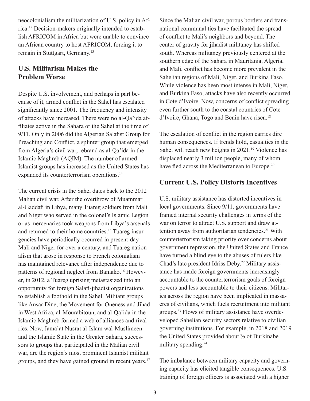neocolonialism the militarization of U.S. policy in Africa.12 Decision-makers originally intended to establish AFRICOM in Africa but were unable to convince an African country to host AFRICOM, forcing it to remain in Stuttgart, Germany.<sup>13</sup>

#### **U.S. Militarism Makes the Problem Worse**

Despite U.S. involvement, and perhaps in part because of it, armed conflict in the Sahel has escalated significantly since 2001. The frequency and intensity of attacks have increased. There were no al-Qa'ida affiliates active in the Sahara or the Sahel at the time of 9/11. Only in 2006 did the Algerian Salafist Group for Preaching and Conflict, a splinter group that emerged from Algeria's civil war, rebrand as al-Qa'ida in the Islamic Maghreb (AQIM). The number of armed Islamist groups has increased as the United States has expanded its counterterrorism operations.<sup>14</sup>

The current crisis in the Sahel dates back to the 2012 Malian civil war. After the overthrow of Muammar al-Gaddafi in Libya, many Tuareg soldiers from Mali and Niger who served in the colonel's Islamic Legion or as mercenaries took weapons from Libya's arsenals and returned to their home countries.<sup>15</sup> Tuareg insurgencies have periodically occurred in present-day Mali and Niger for over a century, and Tuareg nationalism that arose in response to French colonialism has maintained relevance after independence due to patterns of regional neglect from Bamako.<sup>16</sup> However, in 2012, a Tuareg uprising metastasized into an opportunity for foreign Salafi-jihadist organizations to establish a foothold in the Sahel. Militant groups like Ansar Dine, the Movement for Oneness and Jihad in West Africa, al-Mourabitoun, and al-Qa'ida in the Islamic Maghreb formed a web of alliances and rivalries. Now, Jama'at Nusrat al-Islam wal-Muslimeen and the Islamic State in the Greater Sahara, successors to groups that participated in the Malian civil war, are the region's most prominent Islamist militant groups, and they have gained ground in recent years.<sup>17</sup>

Since the Malian civil war, porous borders and transnational communal ties have facilitated the spread of conflict to Mali's neighbors and beyond. The center of gravity for jihadist militancy has shifted south. Whereas militancy previously centered at the southern edge of the Sahara in Mauritania, Algeria, and Mali, conflict has become more prevalent in the Sahelian regions of Mali, Niger, and Burkina Faso. While violence has been most intense in Mali, Niger, and Burkina Faso, attacks have also recently occurred in Cote d'Ivoire. Now, concerns of conflict spreading even further south to the coastal countries of Cote d'Ivoire, Ghana, Togo and Benin have risen.<sup>18</sup>

The escalation of conflict in the region carries dire human consequences. If trends hold, casualties in the Sahel will reach new heights in 2021.<sup>19</sup> Violence has displaced nearly 3 million people, many of whom have fled across the Mediterranean to Europe.<sup>20</sup>

#### **Current U.S. Policy Distorts Incentives**

U.S. military assistance has distorted incentives in local governments. Since 9/11, governments have framed internal security challenges in terms of the war on terror to attract U.S. support and draw attention away from authoritarian tendencies.<sup>21</sup> With counterterrorism taking priority over concerns about government repression, the United States and France have turned a blind eye to the abuses of rulers like Chad's late president Idriss Deby.22 Military assistance has made foreign governments increasingly accountable to the counterterrorism goals of foreign powers and less accountable to their citizens. Militaries across the region have been implicated in massacres of civilians, which fuels recruitment into militant groups.23 Flows of military assistance have overdeveloped Sahelian security sectors relative to civilian governing institutions. For example, in 2018 and 2019 the United States provided about ⅔ of Burkinabe military spending.<sup>24</sup>

The imbalance between military capacity and governing capacity has elicited tangible consequences. U.S. training of foreign officers is associated with a higher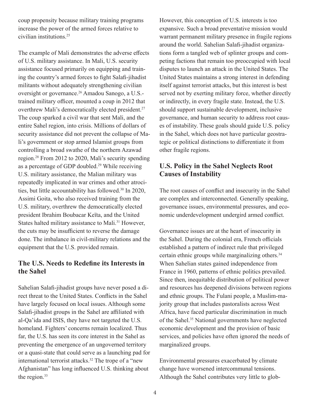coup propensity because military training programs increase the power of the armed forces relative to civilian institutions.25

The example of Mali demonstrates the adverse effects of U.S. military assistance. In Mali, U.S. security assistance focused primarily on equipping and training the country's armed forces to fight Salafi-jihadist militants without adequately strengthening civilian oversight or governance.26 Amadou Sanogo, a U.S. trained military officer, mounted a coup in 2012 that overthrew Mali's democratically elected president.<sup>27</sup> The coup sparked a civil war that sent Mali, and the entire Sahel region, into crisis. Millions of dollars of security assistance did not prevent the collapse of Mali's government or stop armed Islamist groups from controlling a broad swathe of the northern Azawad region.28 From 2012 to 2020, Mali's security spending as a percentage of GDP doubled.29 While receiving U.S. military assistance, the Malian military was repeatedly implicated in war crimes and other atrocities, but little accountability has followed.<sup>30</sup> In 2020, Assimi Goita, who also received training from the U.S. military, overthrew the democratically elected president Ibrahim Boubacar Keïta, and the United States halted military assistance to Mali.<sup>31</sup> However, the cuts may be insufficient to reverse the damage done. The imbalance in civil-military relations and the equipment that the U.S. provided remain.

#### **The U.S. Needs to Redefine its Interests in the Sahel**

Sahelian Salafi-jihadist groups have never posed a direct threat to the United States. Conflicts in the Sahel have largely focused on local issues. Although some Salafi-jihadist groups in the Sahel are affiliated with al-Qa'ida and ISIS, they have not targeted the U.S. homeland. Fighters' concerns remain localized. Thus far, the U.S. has seen its core interest in the Sahel as preventing the emergence of an ungoverned territory or a quasi-state that could serve as a launching pad for international terrorist attacks.32 The trope of a "new Afghanistan" has long influenced U.S. thinking about the region.<sup>33</sup>

However, this conception of U.S. interests is too expansive. Such a broad preventative mission would warrant permanent military presence in fragile regions around the world. Sahelian Salafi-jihadist organizations form a tangled web of splinter groups and competing factions that remain too preoccupied with local disputes to launch an attack in the United States. The United States maintains a strong interest in defending itself against terrorist attacks, but this interest is best served not by exerting military force, whether directly or indirectly, in every fragile state. Instead, the U.S. should support sustainable development, inclusive governance, and human security to address root causes of instability. These goals should guide U.S. policy in the Sahel, which does not have particular geostrategic or political distinctions to differentiate it from other fragile regions.

#### **U.S. Policy in the Sahel Neglects Root Causes of Instability**

The root causes of conflict and insecurity in the Sahel are complex and interconnected. Generally speaking, governance issues, environmental pressures, and economic underdevelopment undergird armed conflict.

Governance issues are at the heart of insecurity in the Sahel. During the colonial era, French officials established a pattern of indirect rule that privileged certain ethnic groups while marginalizing others.<sup>34</sup> When Sahelian states gained independence from France in 1960, patterns of ethnic politics prevailed. Since then, inequitable distribution of political power and resources has deepened divisions between regions and ethnic groups. The Fulani people, a Muslim-majority group that includes pastoralists across West Africa, have faced particular discrimination in much of the Sahel.<sup>35</sup> National governments have neglected economic development and the provision of basic services, and policies have often ignored the needs of marginalized groups.

Environmental pressures exacerbated by climate change have worsened intercommunal tensions. Although the Sahel contributes very little to glob-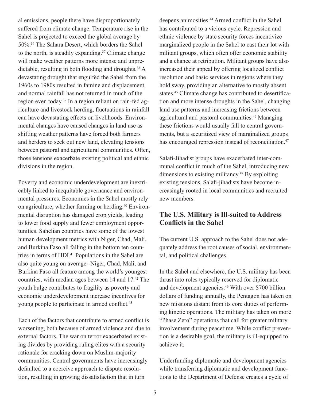al emissions, people there have disproportionately suffered from climate change. Temperature rise in the Sahel is projected to exceed the global average by 50%.36 The Sahara Desert, which borders the Sahel to the north, is steadily expanding.<sup>37</sup> Climate change will make weather patterns more intense and unpredictable, resulting in both flooding and droughts.38 A devastating drought that engulfed the Sahel from the 1960s to 1980s resulted in famine and displacement, and normal rainfall has not returned in much of the region even today.39 In a region reliant on rain-fed agriculture and livestock herding, fluctuations in rainfall can have devastating effects on livelihoods. Environmental changes have caused changes in land use as shifting weather patterns have forced both farmers and herders to seek out new land, elevating tensions between pastoral and agricultural communities. Often, those tensions exacerbate existing political and ethnic divisions in the region.

Poverty and economic underdevelopment are inextricably linked to inequitable governance and environmental pressures. Economies in the Sahel mostly rely on agriculture, whether farming or herding.40 Environmental disruption has damaged crop yields, leading to lower food supply and fewer employment opportunities. Sahelian countries have some of the lowest human development metrics with Niger, Chad, Mali, and Burkina Faso all falling in the bottom ten countries in terms of HDI.<sup>41</sup> Populations in the Sahel are also quite young on average--Niger, Chad, Mali, and Burkina Faso all feature among the world's youngest countries, with median ages between 14 and 17.<sup>42</sup> The youth bulge contributes to fragility as poverty and economic underdevelopment increase incentives for young people to participate in armed conflict.<sup>43</sup>

Each of the factors that contribute to armed conflict is worsening, both because of armed violence and due to external factors. The war on terror exacerbated existing divides by providing ruling elites with a security rationale for cracking down on Muslim-majority communities. Central governments have increasingly defaulted to a coercive approach to dispute resolution, resulting in growing dissatisfaction that in turn

deepens animosities.44 Armed conflict in the Sahel has contributed to a vicious cycle. Repression and ethnic violence by state security forces incentivize marginalized people in the Sahel to cast their lot with militant groups, which often offer economic stability and a chance at retribution. Militant groups have also increased their appeal by offering localized conflict resolution and basic services in regions where they hold sway, providing an alternative to mostly absent states.45 Climate change has contributed to desertification and more intense droughts in the Sahel, changing land use patterns and increasing frictions between agricultural and pastoral communities.46 Managing these frictions would usually fall to central governments, but a securitized view of marginalized groups has encouraged repression instead of reconciliation.<sup>47</sup>

Salafi-Jihadist groups have exacerbated inter-communal conflict in much of the Sahel, introducing new dimensions to existing militancy.48 By exploiting existing tensions, Salafi-jihadists have become increasingly rooted in local communities and recruited new members.

#### **The U.S. Military is Ill-suited to Address Conflicts in the Sahel**

The current U.S. approach to the Sahel does not adequately address the root causes of social, environmental, and political challenges.

In the Sahel and elsewhere, the U.S. military has been thrust into roles typically reserved for diplomatic and development agencies.49 With over \$700 billion dollars of funding annually, the Pentagon has taken on new missions distant from its core duties of performing kinetic operations. The military has taken on more "Phase Zero" operations that call for greater military involvement during peacetime. While conflict prevention is a desirable goal, the military is ill-equipped to achieve it.

Underfunding diplomatic and development agencies while transferring diplomatic and development functions to the Department of Defense creates a cycle of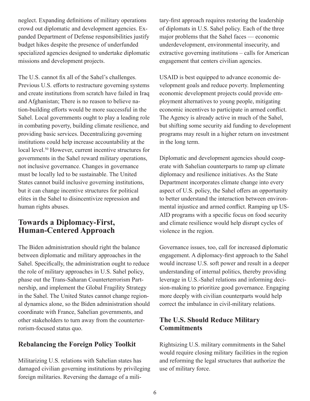neglect. Expanding definitions of military operations crowd out diplomatic and development agencies. Expanded Department of Defense responsibilities justify budget hikes despite the presence of underfunded specialized agencies designed to undertake diplomatic missions and development projects.

The U.S. cannot fix all of the Sahel's challenges. Previous U.S. efforts to restructure governing systems and create institutions from scratch have failed in Iraq and Afghanistan; There is no reason to believe nation-building efforts would be more successful in the Sahel. Local governments ought to play a leading role in combating poverty, building climate resilience, and providing basic services. Decentralizing governing institutions could help increase accountability at the local level.<sup>50</sup> However, current incentive structures for governments in the Sahel reward military operations, not inclusive governance. Changes in governance must be locally led to be sustainable. The United States cannot build inclusive governing institutions, but it can change incentive structures for political elites in the Sahel to disincentivize repression and human rights abuses.

# **Towards a Diplomacy-First, Human-Centered Approach**

The Biden administration should right the balance between diplomatic and military approaches in the Sahel. Specifically, the administration ought to reduce the role of military approaches in U.S. Sahel policy, phase out the Trans-Saharan Counterterrorism Partnership, and implement the Global Fragility Strategy in the Sahel. The United States cannot change regional dynamics alone, so the Biden administration should coordinate with France, Sahelian governments, and other stakeholders to turn away from the counterterrorism-focused status quo.

#### **Rebalancing the Foreign Policy Toolkit**

Militarizing U.S. relations with Sahelian states has damaged civilian governing institutions by privileging foreign militaries. Reversing the damage of a military-first approach requires restoring the leadership of diplomats in U.S. Sahel policy. Each of the three major problems that the Sahel faces — economic underdevelopment, environmental insecurity, and extractive governing institutions – calls for American engagement that centers civilian agencies.

USAID is best equipped to advance economic development goals and reduce poverty. Implementing economic development projects could provide employment alternatives to young people, mitigating economic incentives to participate in armed conflict. The Agency is already active in much of the Sahel, but shifting some security aid funding to development programs may result in a higher return on investment in the long term.

Diplomatic and development agencies should cooperate with Sahelian counterparts to ramp up climate diplomacy and resilience initiatives. As the State Department incorporates climate change into every aspect of U.S. policy, the Sahel offers an opportunity to better understand the interaction between environmental injustice and armed conflict. Ramping up US-AID programs with a specific focus on food security and climate resilience would help disrupt cycles of violence in the region.

Governance issues, too, call for increased diplomatic engagement. A diplomacy-first approach to the Sahel would increase U.S. soft power and result in a deeper understanding of internal politics, thereby providing leverage in U.S.-Sahel relations and informing decision-making to prioritize good governance. Engaging more deeply with civilian counterparts would help correct the imbalance in civil-military relations.

### **The U.S. Should Reduce Military Commitments**

Rightsizing U.S. military commitments in the Sahel would require closing military facilities in the region and reforming the legal structures that authorize the use of military force.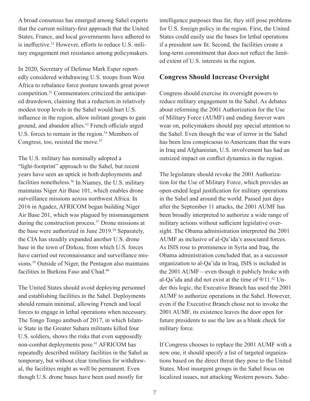A broad consensus has emerged among Sahel experts that the current military-first approach that the United States, France, and local governments have adhered to is ineffective.51 However, efforts to reduce U.S. military engagement met resistance among policymakers.

In 2020, Secretary of Defense Mark Esper reportedly considered withdrawing U.S. troops from West Africa to rebalance force posture towards great power competition.52 Commentators criticized the anticipated drawdown, claiming that a reduction in relatively modest troop levels in the Sahel would hurt U.S. influence in the region, allow militant groups to gain ground, and abandon allies.<sup>53</sup> French officials urged U.S. forces to remain in the region.<sup>54</sup> Members of Congress, too, resisted the move.<sup>55</sup>

The U.S. military has nominally adopted a "light-footprint" approach to the Sahel, but recent years have seen an uptick in both deployments and facilities nonetheless.<sup>56</sup> In Niamey, the U.S. military maintains Niger Air Base 101, which enables drone surveillance missions across northwest Africa. In 2016 in Agadez, AFRICOM began building Niger Air Base 201, which was plagued by mismanagement during the construction process.<sup>57</sup> Drone missions at the base were authorized in June 2019.<sup>58</sup> Separately, the CIA has steadily expanded another U.S. drone base in the town of Dirkou, from which U.S. forces have carried out reconnaissance and surveillance missions.<sup>59</sup> Outside of Niger, the Pentagon also maintains facilities in Burkina Faso and Chad.<sup>60</sup>

The United States should avoid deploying personnel and establishing facilities in the Sahel. Deployments should remain minimal, allowing French and local forces to engage in lethal operations when necessary. The Tongo Tongo ambush of 2017, in which Islamic State in the Greater Sahara militants killed four U.S. soldiers, shows the risks that even supposedly non-combat deployments pose.<sup>61</sup> AFRICOM has repeatedly described military facilities in the Sahel as temporary, but without clear timelines for withdrawal, the facilities might as well be permanent. Even though U.S. drone bases have been used mostly for

intelligence purposes thus far, they still pose problems for U.S. foreign policy in the region. First, the United States could easily use the bases for lethal operations if a president saw fit. Second, the facilities create a long-term commitment that does not reflect the limited extent of U.S. interests in the region.

#### **Congress Should Increase Oversight**

Congress should exercise its oversight powers to reduce military engagement in the Sahel. As debates about reforming the 2001 Authorization for the Use of Military Force (AUMF) and ending forever wars wear on, policymakers should pay special attention to the Sahel. Even though the war of terror in the Sahel has been less conspicuous to Americans than the wars in Iraq and Afghanistan, U.S. involvement has had an outsized impact on conflict dynamics in the region.

The legislature should revoke the 2001 Authorization for the Use of Military Force, which provides an open-ended legal justification for military operations in the Sahel and around the world. Passed just days after the September 11 attacks, the 2001 AUMF has been broadly interpreted to authorize a wide range of military actions without sufficient legislative oversight. The Obama administration interpreted the 2001 AUMF as inclusive of al-Qa'ida's associated forces. As ISIS rose to prominence in Syria and Iraq, the Obama administration concluded that, as a successor organization to al-Qa'ida in Iraq, ISIS is included in the 2001 AUMF—even though it publicly broke with al-Qa'ida and did not exist at the time of 9/11.62 Under this logic, the Executive Branch has used the 2001 AUMF to authorize operations in the Sahel. However, even if the Executive Branch chose not to invoke the 2001 AUMF, its existence leaves the door open for future presidents to use the law as a blank check for military force.

If Congress chooses to replace the 2001 AUMF with a new one, it should specify a list of targeted organizations based on the direct threat they pose to the United States. Most insurgent groups in the Sahel focus on localized issues, not attacking Western powers. Sahe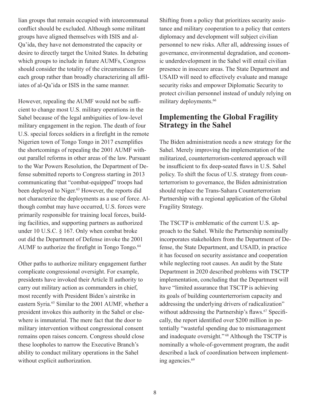lian groups that remain occupied with intercommunal conflict should be excluded. Although some militant groups have aligned themselves with ISIS and al-Qa'ida, they have not demonstrated the capacity or desire to directly target the United States. In debating which groups to include in future AUMFs, Congress should consider the totality of the circumstances for each group rather than broadly characterizing all affiliates of al-Qa'ida or ISIS in the same manner.

However, repealing the AUMF would not be sufficient to change most U.S. military operations in the Sahel because of the legal ambiguities of low-level military engagement in the region. The death of four U.S. special forces soldiers in a firefight in the remote Nigerien town of Tongo Tongo in 2017 exemplifies the shortcomings of repealing the 2001 AUMF without parallel reforms in other areas of the law. Pursuant to the War Powers Resolution, the Department of Defense submitted reports to Congress starting in 2013 communicating that "combat-equipped" troops had been deployed to Niger.<sup>63</sup> However, the reports did not characterize the deployments as a use of force. Although combat may have occurred, U.S. forces were primarily responsible for training local forces, building facilities, and supporting partners as authorized under 10 U.S.C. § 167. Only when combat broke out did the Department of Defense invoke the 2001 AUMF to authorize the firefight in Tongo Tongo.<sup>64</sup>

Other paths to authorize military engagement further complicate congressional oversight. For example, presidents have invoked their Article II authority to carry out military action as commanders in chief, most recently with President Biden's airstrike in eastern Syria.65 Similar to the 2001 AUMF, whether a president invokes this authority in the Sahel or elsewhere is immaterial. The mere fact that the door to military intervention without congressional consent remains open raises concern. Congress should close these loopholes to narrow the Executive Branch's ability to conduct military operations in the Sahel without explicit authorization.

Shifting from a policy that prioritizes security assistance and military cooperation to a policy that centers diplomacy and development will subject civilian personnel to new risks. After all, addressing issues of governance, environmental degradation, and economic underdevelopment in the Sahel will entail civilian presence in insecure areas. The State Department and USAID will need to effectively evaluate and manage security risks and empower Diplomatic Security to protect civilian personnel instead of unduly relying on military deployments.<sup>66</sup>

# **Implementing the Global Fragility Strategy in the Sahel**

The Biden administration needs a new strategy for the Sahel. Merely improving the implementation of the militarized, counterterrorism-centered approach will be insufficient to fix deep-seated flaws in U.S. Sahel policy. To shift the focus of U.S. strategy from counterterrorism to governance, the Biden administration should replace the Trans-Sahara Counterterrorism Partnership with a regional application of the Global Fragility Strategy.

The TSCTP is emblematic of the current U.S. approach to the Sahel. While the Partnership nominally incorporates stakeholders from the Department of Defense, the State Department, and USAID, in practice it has focused on security assistance and cooperation while neglecting root causes. An audit by the State Department in 2020 described problems with TSCTP implementation, concluding that the Department will have "limited assurance that TSCTP is achieving its goals of building counterterrorism capacity and addressing the underlying drivers of radicalization" without addressing the Partnership's flaws.<sup>67</sup> Specifically, the report identified over \$200 million in potentially "wasteful spending due to mismanagement and inadequate oversight."<sup>68</sup> Although the TSCTP is nominally a whole-of-government program, the audit described a lack of coordination between implementing agencies.69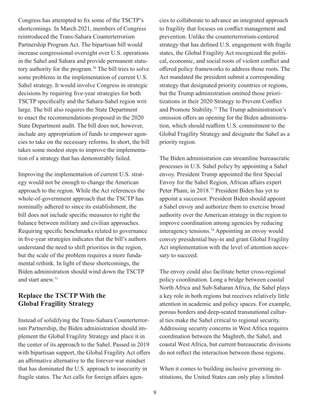Congress has attempted to fix some of the TSCTP's shortcomings. In March 2021, members of Congress reintroduced the Trans-Sahara Counterterrorism Partnership Program Act. The bipartisan bill would increase congressional oversight over U.S. operations in the Sahel and Sahara and provide permanent statutory authority for the program.<sup>70</sup> The bill tries to solve some problems in the implementation of current U.S. Sahel strategy. It would involve Congress in strategic decisions by requiring five-year strategies for both TSCTP specifically and the Sahara-Sahel region writ large. The bill also requires the State Department to enact the recommendations proposed in the 2020 State Department audit. The bill does not, however, include any appropriation of funds to empower agencies to take on the necessary reforms. In short, the bill takes some modest steps to improve the implementation of a strategy that has demonstrably failed.

Improving the implementation of current U.S. strategy would not be enough to change the American approach to the region. While the Act references the whole-of-government approach that the TSCTP has nominally adhered to since its establishment, the bill does not include specific measures to right the balance between military and civilian approaches. Requiring specific benchmarks related to governance in five-year strategies indicates that the bill's authors understand the need to shift priorities in the region, but the scale of the problem requires a more fundamental rethink. In light of these shortcomings, the Biden administration should wind down the TSCTP and start anew.<sup>71</sup>

#### **Replace the TSCTP With the Global Fragility Strategy**

Instead of solidifying the Trans-Sahara Counterterrorism Partnership, the Biden administration should implement the Global Fragility Strategy and place it in the center of its approach to the Sahel. Passed in 2019 with bipartisan support, the Global Fragility Act offers an affirmative alternative to the forever-war mindset that has dominated the U.S. approach to insecurity in fragile states. The Act calls for foreign affairs agencies to collaborate to advance an integrated approach to fragility that focuses on conflict management and prevention. Unlike the counterterrorism-centered strategy that has defined U.S. engagement with fragile states, the Global Fragility Act recognized the political, economic, and social roots of violent conflict and offered policy frameworks to address those roots. The Act mandated the president submit a corresponding strategy that designated priority countries or regions, but the Trump administration omitted those prioritizations in their 2020 Strategy to Prevent Conflict and Promote Stability.<sup>72</sup> The Trump administration's omission offers an opening for the Biden administration, which should reaffirm U.S. commitment to the Global Fragility Strategy and designate the Sahel as a priority region.

The Biden administration can streamline bureaucratic processes in U.S. Sahel policy by appointing a Sahel envoy. President Trump appointed the first Special Envoy for the Sahel Region, African affairs expert Peter Pham, in 2018.73 President Biden has yet to appoint a successor. President Biden should appoint a Sahel envoy and authorize them to exercise broad authority over the American strategy in the region to improve coordination among agencies by reducing interagency tensions.<sup>74</sup> Appointing an envoy would convey presidential buy-in and grant Global Fragility Act implementation with the level of attention necessary to succeed.

The envoy could also facilitate better cross-regional policy coordination. Long a bridge between coastal North Africa and Sub-Saharan Africa, the Sahel plays a key role in both regions but receives relatively little attention in academic and policy spaces. For example, porous borders and deep-seated transnational cultural ties make the Sahel critical to regional security. Addressing security concerns in West Africa requires coordination between the Maghreb, the Sahel, and coastal West Africa, but current bureaucratic divisions do not reflect the interaction between those regions.

When it comes to building inclusive governing institutions, the United States can only play a limited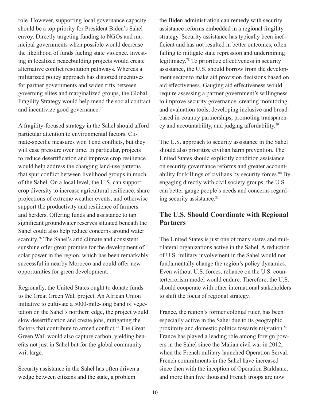role. However, supporting local governance capacity should be a top priority for President Biden's Sahel envoy. Directly targeting funding to NGOs and municipal governments when possible would decrease the likelihood of funds fueling state violence. Investing in localized peacebuilding projects would create alternative conflict resolution pathways. Whereas a militarized policy approach has distorted incentives for partner governments and widen rifts between governing elites and marginalized groups, the Global Fragility Strategy would help mend the social contract and incentivize good governance.<sup>75</sup>

A fragility-focused strategy in the Sahel should afford particular attention to environmental factors. Climate-specific measures won't end conflicts, but they will ease pressure over time. In particular, projects to reduce desertification and improve crop resilience would help address the changing land-use patterns that spur conflict between livelihood groups in much of the Sahel. On a local level, the U.S. can support crop diversity to increase agricultural resilience, share projections of extreme weather events, and otherwise support the productivity and resilience of farmers and herders. Offering funds and assistance to tap significant groundwater reserves situated beneath the Sahel could also help reduce concerns around water scarcity.<sup>76</sup> The Sahel's arid climate and consistent sunshine offer great promise for the development of solar power in the region, which has been remarkably successful in nearby Morocco and could offer new opportunities for green development.

Regionally, the United States ought to donate funds to the Great Green Wall project. An African Union initiative to cultivate a 5000-mile-long band of vegetation on the Sahel's northern edge, the project would slow desertification and create jobs, mitigating the factors that contribute to armed conflict.<sup>77</sup> The Great Green Wall would also capture carbon, yielding benefits not just in Sahel but for the global community writ large.

Security assistance in the Sahel has often driven a wedge between citizens and the state, a problem

the Biden administration can remedy with security assistance reforms embedded in a regional fragility strategy. Security assistance has typically been inefficient and has not resulted in better outcomes, often failing to mitigate state repression and undermining legitimacy.78 To prioritize effectiveness in security assistance, the U.S. should borrow from the development sector to make aid provision decisions based on aid effectiveness. Gauging aid effectiveness would require assessing a partner government's willingness to improve security governance, creating monitoring and evaluation tools, developing inclusive and broadbased in-country partnerships, promoting transparency and accountability, and judging affordability.79

The U.S. approach to security assistance in the Sahel should also prioritize civilian harm prevention. The United States should explicitly condition assistance on security governance reforms and greater accountability for killings of civilians by security forces. $80$  By engaging directly with civil society groups, the U.S. can better gauge people's needs and concerns regarding security assistance.<sup>81</sup>

#### **The U.S. Should Coordinate with Regional Partners**

The United States is just one of many states and multilateral organizations active in the Sahel. A reduction of U.S. military involvement in the Sahel would not fundamentally change the region's policy dynamics. Even without U.S. forces, reliance on the U.S. counterterrorism model would endure. Therefore, the U.S. should cooperate with other international stakeholders to shift the focus of regional strategy.

France, the region's former colonial ruler, has been especially active in the Sahel due to its geographic proximity and domestic politics towards migration.82 France has played a leading role among foreign powers in the Sahel since the Malian civil war in 2012, when the French military launched Operation Serval. French commitments in the Sahel have increased since then with the inception of Operation Barkhane, and more than five thousand French troops are now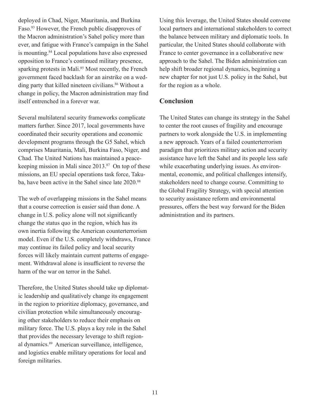deployed in Chad, Niger, Mauritania, and Burkina Faso.<sup>83</sup> However, the French public disapproves of the Macron administration's Sahel policy more than ever, and fatigue with France's campaign in the Sahel is mounting.<sup>84</sup> Local populations have also expressed opposition to France's continued military presence, sparking protests in Mali.<sup>85</sup> Most recently, the French government faced backlash for an airstrike on a wedding party that killed nineteen civilians.<sup>86</sup> Without a change in policy, the Macron administration may find itself entrenched in a forever war.

Several multilateral security frameworks complicate matters further. Since 2017, local governments have coordinated their security operations and economic development programs through the G5 Sahel, which comprises Mauritania, Mali, Burkina Faso, Niger, and Chad. The United Nations has maintained a peacekeeping mission in Mali since  $2013.^{87}$  On top of these missions, an EU special operations task force, Takuba, have been active in the Sahel since late 2020.<sup>88</sup>

The web of overlapping missions in the Sahel means that a course correction is easier said than done. A change in U.S. policy alone will not significantly change the status quo in the region, which has its own inertia following the American counterterrorism model. Even if the U.S. completely withdraws, France may continue its failed policy and local security forces will likely maintain current patterns of engagement. Withdrawal alone is insufficient to reverse the harm of the war on terror in the Sahel.

Therefore, the United States should take up diplomatic leadership and qualitatively change its engagement in the region to prioritize diplomacy, governance, and civilian protection while simultaneously encouraging other stakeholders to reduce their emphasis on military force. The U.S. plays a key role in the Sahel that provides the necessary leverage to shift regional dynamics.<sup>89</sup> American surveillance, intelligence, and logistics enable military operations for local and foreign militaries.

Using this leverage, the United States should convene local partners and international stakeholders to correct the balance between military and diplomatic tools. In particular, the United States should collaborate with France to center governance in a collaborative new approach to the Sahel. The Biden administration can help shift broader regional dynamics, beginning a new chapter for not just U.S. policy in the Sahel, but for the region as a whole.

#### **Conclusion**

The United States can change its strategy in the Sahel to center the root causes of fragility and encourage partners to work alongside the U.S. in implementing a new approach. Years of a failed counterterrorism paradigm that prioritizes military action and security assistance have left the Sahel and its people less safe while exacerbating underlying issues. As environmental, economic, and political challenges intensify, stakeholders need to change course. Committing to the Global Fragility Strategy, with special attention to security assistance reform and environmental pressures, offers the best way forward for the Biden administration and its partners.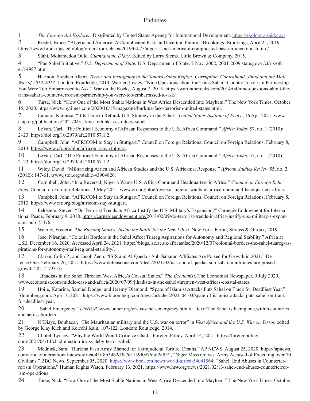#### Endnotes

1 *The Foreign Aid Explorer*. Distributed by United States Agency for International Development. https://explorer.usaid.gov/

2 Riedel, Bruce. "Algeria and America: A Complicated Past, an Uncertain Future." Brookings. Brookings, April 25, 2019. https://www.brookings.edu/blog/order-from-chaos/2019/04/25/algeria-and-america-a-complicated-past-an-uncertain-future/.

3 Slahi, Mohamedou Ould. *Guantanamo Diary*. Edited by Larry Siems. Little Brown & Company, 2015.

4 "Pan Sahel Initiative." *U.S. Department of State*, U.S. Department of State, 7 Nov. 2002, 2001-2009.state.gov/s/ct/rls/other/14987.htm.

5 Harmon, Stephen Albert. *Terror and Insurgency in the Sahara-Sahel Region: Corruption, Contraband, Jihad and the Mali War of 2012-2013*. London: Routledge, 2014; Warner, Lesley. "Nine Questions about the Trans Sahara Counter Terrorism Partnership You Were Too Embarrassed to Ask." War on the Rocks, August 7, 2015. https://warontherocks.com/2014/04/nine-questions-about-thetrans-sahara-counter-terrorism-partnership-you-were-too-embarrassed-to-ask/.

6 Turse, Nick. "How One of the Most Stable Nations in West Africa Descended Into Mayhem." The New York Times. October 15, 2020. https://www.nytimes.com/2020/10/15/magazine/burkina-faso-terrorism-united-states.html.

7 Camara, Kamissa. "It Is Time to Rethink U.S. Strategy in the Sahel." *United States Institute of Peace*, 16 Apr. 2021, www. usip.org/publications/2021/04/it-time-rethink-us-strategy-sahel.

8 LeVan, Carl. "The Political Economy of African Responses to the U.S. Africa Command." *Africa Today* 57, no. 1 (2010): 2–23. https://doi.org/10.2979/aft.2010.57.1.2.

9 Campbell, John. "AFRICOM to Stay in Stuttgart." Council on Foreign Relations. Council on Foreign Relations, February 8, 2013. https://www.cfr.org/blog/africom-stay-stuttgart.

10 LeVan, Carl. "The Political Economy of African Responses to the U.S. Africa Command." *Africa Today* 57, no. 1 (2010): 2–23. https://doi.org/10.2979/aft.2010.57.1.2.

11 Wiley, David. "Militarizing Africa and African Studies and the U.S. Africanist Response." *African Studies Review* 55, no. 2 (2012): 147-61. www.jstor.org/stable/43904826.

12 Campbell, John. "In a Reversal, Nigeria Wants U.S. Africa Command Headquarters in Africa." *Council on Foreign Relations*, Council on Foreign Relations, 3 May 2021, www.cfr.org/blog/reversal-nigeria-wants-us-africa-command-headquarters-africa.

13 Campbell, John. "AFRICOM to Stay in Stuttgart." Council on Foreign Relations. Council on Foreign Relations, February 8, 2013. https://www.cfr.org/blog/africom-stay-stuttgart.

14 Feldstein, Steven. "Do Terrorist Trends in Africa Justify the U.S. Military's Expansion?" Carnegie Endowment for International Peace, February 9, 2018. https://carnegieendowment.org/2018/02/09/do-terrorist-trends-in-africa-justify-u.s.-military-s-expansion-pub-75476.

15 Wehrey, Frederic. *The Burning Shores: Inside the Battle for the New Libya.* New York: Farrar, Strauss & Giroux, 2019.

16 Jose, Niranjan. "Colonial Borders in the Sahel Affect Tuareg Aspirations for Autonomy and Regional Stability." Africa at LSE. December 16, 2020. Accessed April 24, 2021. https://blogs.lse.ac.uk/africaatlse/2020/12/07/colonial-borders-the-sahel-tuareg-aspirations-for-autonomy-mali-regional-stability/.

17 Clarke, Colin P., and Jacob Zenn. "ISIS and Al-Qaeda's Sub-Saharan Affiliates Are Poised for Growth in 2021." Defense One. February 26, 2021. https://www.defenseone.com/ideas/2021/02/isis-and-al-qaedas-sub-saharan-affiliates-are-poisedgrowth-2021/172313/.

18 "Jihadists in the Sahel Threaten West Africa's Coastal States." *The Economist*, The Economist Newspaper, 9 July 2020, www.economist.com/middle-east-and-africa/2020/07/09/jihadists-in-the-sahel-threaten-west-africas-coastal-states.

19 Hoije, Katarina, Samuel Dodge, and Jeremy Diamond. "Spate of Islamist Attacks Puts Sahel on Track for Deadliest Year." Bloomberg.com. April 3, 2021. https://www.bloomberg.com/news/articles/2021-04-03/spate-of-islamist-attacks-puts-sahel-on-trackfor-deadliest-year.

20 "Sahel Emergency." *UNHCR*, www.unhcr.org/en-us/sahel-emergency.html#:~:text=The Sahel is facing one,within countries and across borders.

21 N'Diaye, Boubacar, "The Mauritanian military and the U.S. war on terror" in *West Africa and the U.S. War on Terror,* edited by George Klay Kieh and Kelechi Kalu, 107-122. London: Routledge, 2014.

22 Chutel, Lynsey. "Why the World Won't Criticize Chad." Foreign Policy. April 14, 2021. https://foreignpolicy. com/2021/04/14/chad-election-idriss-deby-terror-sahel/.

23 Mednick, Sam. "Burkina Faso Army Blamed for Extrajudicial Torture, Deaths." AP NEWS. August 25, 2020. https://apnews. com/article/international-news-africa-41ff8b34b2d3a761139f0c76faf2af97.; "Niger Mass Graves: Army Accused of Executing over 70 Civilians." BBC News. September 05, 2020. https://www.bbc.com/news/world-africa-54041564; "Sahel: End Abuses in Counterterrorism Operations." Human Rights Watch. February 13, 2021. https://www.hrw.org/news/2021/02/13/sahel-end-abuses-counterterrorism-operations.

24 Turse, Nick. "How One of the Most Stable Nations in West Africa Descended Into Mayhem." The New York Times. October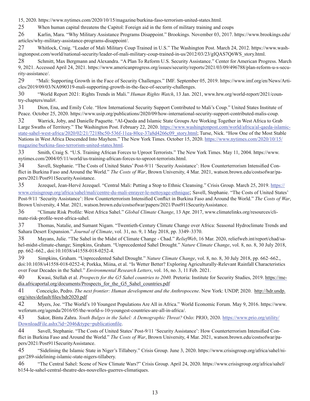15, 2020. https://www.nytimes.com/2020/10/15/magazine/burkina-faso-terrorism-united-states.html.

25 When human capital threatens the Capitol: Foreign aid in the form of military training and coups

26 Karlin, Mara. "Why Military Assistance Programs Disappoint." Brookings. November 03, 2017. https://www.brookings.edu/ articles/why-military-assistance-programs-disappoint/.

27 Whitlock, Craig. "Leader of Mali Military Coup Trained in U.S." The Washington Post. March 24, 2012. https://www.washingtonpost.com/world/national-security/leader-of-mali-military-coup-trained-in-us/2012/03/23/gIQAS7Q6WS\_story.html.

28 Schmitt, Max Bergmann and Alexandra. "A Plan To Reform U.S. Security Assistance." Center for American Progress. March 9, 2021. Accessed April 24, 2021. https://www.americanprogress.org/issues/security/reports/2021/03/09/496788/plan-reform-u-s-security-assistance/.

29 "Mali: Supporting Growth in the Face of Security Challenges." IMF. September 05, 2019. https://www.imf.org/en/News/Articles/2019/09/03/NA090319-mali-supporting-growth-in-the-face-of-security-challenges.

30 "World Report 2021: Rights Trends in Mali." *Human Rights Watch*, 13 Jan. 2021, www.hrw.org/world-report/2021/country-chapters/mali#.

31 Dion, Ena, and Emily Cole. "How International Security Support Contributed to Mali's Coup." United States Institute of Peace. October 25, 2020. https://www.usip.org/publications/2020/09/how-international-security-support-contributed-malis-coup.

32 Warrick, Joby, and Danielle Paquette. "Al-Qaeda and Islamic State Groups Are Working Together in West Africa to Grab Large Swaths of Territory." The Washington Post. February 22, 2020. https://www.washingtonpost.com/world/africa/al-qaeda-islamicstate-sahel-west-africa/2020/02/21/7218bc50-536f-11ea-80ce-37a8d4266c09\_story.html; Turse, Nick. "How One of the Most Stable Nations in West Africa Descended Into Mayhem." The New York Times. October 15, 2020. https://www.nytimes.com/2020/10/15/ magazine/burkina-faso-terrorism-united-states.html.

33 Smith, Craig S. "U.S. Training African Forces to Uproot Terrorists." The New York Times. May 11, 2004. https://www. nytimes.com/2004/05/11/world/us-training-african-forces-to-uproot-terrorists.html.

34 Savell, Stephanie. "The Costs of United States' Post-9/11 'Security Assistance': How Counterterrorism Intensified Conflict in Burkina Faso and Around the World." *The Costs of War*, Brown University, 4 Mar. 2021, watson.brown.edu/costsofwar/papers/2021/Post911SecurityAssistance.

35 Jezequel, Jean-Hervé Jezequel. "Central Mali: Putting a Stop to Ethnic Cleansing." Crisis Group. March 25, 2019. https:// www.crisisgroup.org/africa/sahel/mali/centre-du-mali-enrayer-le-nettoyage-ethnique; Savell, Stephanie. "The Costs of United States' Post-9/11 'Security Assistance': How Counterterrorism Intensified Conflict in Burkina Faso and Around the World." *The Costs of War*, Brown University, 4 Mar. 2021, watson.brown.edu/costsofwar/papers/2021/Post911SecurityAssistance.

36 "Climate Risk Profile: West Africa Sahel." *Global Climate Change*, 13 Apr. 2017, www.climatelinks.org/resources/climate-risk-profile-west-africa-sahel.

37 Thomas, Natalie, and Sumant Nigam. "Twentieth-Century Climate Change over Africa: Seasonal Hydroclimate Trends and Sahara Desert Expansion." *Journal of Climate*, vol. 31, no. 9, 1 May 2018, pp. 3349–3370.

38 Mayans, Julie. "The Sahel in the Midst of Climate Change - Chad." *ReliefWeb*, 16 Mar. 2020, reliefweb.int/report/chad/sahel-midst-climate-change; Simpkins, Graham. "Unprecedented Sahel Drought." *Nature Climate Change*, vol. 8, no. 8, 30 July 2018, pp. 662–662., doi:10.1038/s41558-018-0252-4.

39 Simpkins, Graham. "Unprecedented Sahel Drought." *Nature Climate Change*, vol. 8, no. 8, 30 July 2018, pp. 662–662., doi:10.1038/s41558-018-0252-4; Porkka, Miina, et al. "Is Wetter Better? Exploring Agriculturally-Relevant Rainfall Characteristics over Four Decades in the Sahel." *Environmental Research Letters*, vol. 16, no. 3, 11 Feb. 2021.

40 Kwasi, Stellah et al. *Prospects for the G5 Sahel countries to 2040.* Pretoria: Institute for Security Studies, 2019. https://media.africaportal.org/documents/Prospects\_for\_the\_G5\_Sahel\_countries.pdf

41 Conceição, Pedro. *The next frontier: Human development and the Anthropocene*. New York: UNDP, 2020. http://hdr.undp. org/sites/default/files/hdr2020.pdf

42 Myers, Joe. "The World's 10 Youngest Populations Are All in Africa." World Economic Forum. May 9, 2016. https://www. weforum.org/agenda/2016/05/the-world-s-10-youngest-countries-are-all-in-africa/.

43 Sakor, Bintu Zahra. *Youth Bulges in the Sahel: A Demographic Threat?* Oslo: PRIO, 2020. https://www.prio.org/utility/ DownloadFile.ashx?id=2046&type=publicationfile.

44 Savell, Stephanie. "The Costs of United States' Post-9/11 'Security Assistance': How Counterterrorism Intensified Conflict in Burkina Faso and Around the World." *The Costs of War*, Brown University, 4 Mar. 2021, watson.brown.edu/costsofwar/papers/2021/Post911SecurityAssistance.

45 "Sidelining the Islamic State in Niger's Tillabery." Crisis Group. June 3, 2020. https://www.crisisgroup.org/africa/sahel/niger/289-sidelining-islamic-state-nigers-tillabery.

46 "The Central Sahel: Scene of New Climate Wars?" Crisis Group. April 24, 2020. https://www.crisisgroup.org/africa/sahel/ b154-le-sahel-central-theatre-des-nouvelles-guerres-climatiques.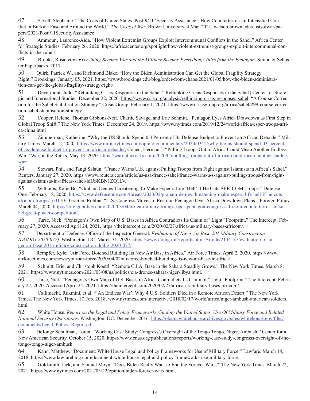47 Savell, Stephanie. "The Costs of United States' Post-9/11 'Security Assistance': How Counterterrorism Intensified Conflict in Burkina Faso and Around the World." *The Costs of War*, Brown University, 4 Mar. 2021, watson.brown.edu/costsofwar/papers/2021/Post911SecurityAssistance.

48 Ammour , Laurence-Aïda. "How Violent Extremist Groups Exploit Intercommunal Conflicts in the Sahel." Africa Center for Strategic Studies. February 26, 2020. https://africacenter.org/spotlight/how-violent-extremist-groups-exploit-intercommunal-conflicts-in-the-sahel/.

49 Brooks, Rosa. *How Everything Became War and the Military Became Everything: Tales from the Pentagon*. Simon & Schuster Paperbacks, 2017.

50 Quirk, Patrick W., and Richmond Blake. "How the Biden Administration Can Get the Global Fragility Strategy Right." Brookings. January 05, 2021. https://www.brookings.edu/blog/order-from-chaos/2021/01/05/how-the-biden-administration-can-get-the-global-fragility-strategy-right/.

51 Devermont, Judd. "Rethinking Crisis Responses in the Sahel." Rethinking Crisis Responses in the Sahel | Center for Strategic and International Studies. December 22, 2020. https://www.csis.org/analysis/rethinking-crisis-responses-sahel; "A Course Correction for the Sahel Stabilisation Strategy." Crisis Group. February 1, 2021. https://www.crisisgroup.org/africa/sahel/299-course-correction-sahel-stabilisation-strategy.

52 Cooper, Helene, Thomas Gibbons-Neff, Charlie Savage, and Eric Schmitt. "Pentagon Eyes Africa Drawdown as First Step in Global Troop Shift." The New York Times. December 24, 2019. https://www.nytimes.com/2019/12/24/world/africa/esper-troops-africa-china.html

53 Zimmerman, Katherine. "Why the US Should Spend 0.3 Percent of Its Defense Budget to Prevent an African Debacle." Military Times. March 12, 2020. https://www.militarytimes.com/opinion/commentary/2020/03/12/why-the-us-should-spend-03-percentof-its-defense-budget-to-prevent-an-african-debacle/; Cohen, Herman J. "Pulling Troops Out of Africa Could Mean Another Endless War." War on the Rocks. May 13, 2020. https://warontherocks.com/2020/05/pulling-troops-out-of-africa-could-mean-another-endlesswar/.

54 Stewart, Phil, and Tangi Salaün. "France Warns U.S. against Pulling Troops from Fight against Islamists in Africa's Sahel." Reuters. January 27, 2020. https://www.reuters.com/article/us-usa-france-sahel/france-warns-u-s-against-pulling-troops-from-fightagainst-islamists-in-africas-sahel-idUSKBN1ZQ1LV.

55 Williams, Katie Bo. "Graham Denies Threatening To Make Esper's Life 'Hell' If He Cuts AFRICOM Troops." Defense One. February 18, 2020. https://www.defenseone.com/threats/2020/02/graham-denies-threatening-make-espers-life-hell-if-he-cutsafricom-troops/163170/; Gramer, Robbie. "U.S. Congress Moves to Restrain Pentagon Over Africa Drawdown Plans." Foreign Policy. March 04, 2020. https://foreignpolicy.com/2020/03/04/africa-military-trump-esper-pentagon-congress-africom-counterterrorism-sahel-great-power-competition/.

56 Turse, Nick. "Pentagon's Own Map of U.S. Bases in Africa Contradicts Its Claim of "Light" Footprint." The Intercept. February 27, 2020. Accessed April 24, 2021. https://theintercept.com/2020/02/27/africa-us-military-bases-africom/.

57 Department of Defense. Office of the Inspector General. *Evaluation of Niger Air Base 201 Military Construction (DODIG-2020-077)*. Washington, DC. March 31, 2020. https://www.dodig.mil/reports.html/Article/2134187/evaluation-of-niger-air-base-201-military-construction-dodig-2020-077/.

58 Rempfer, Kyle. "Air Force Botched Building Its New Air Base in Africa." Air Force Times. April 2, 2020. https://www. airforcetimes.com/news/your-air-force/2020/04/02/air-force-botched-building-its-new-air-base-in-africa/.

59 Schmitt, Eric, and Christoph Koettl. "Remote C.I.A. Base in the Sahara Steadily Grows." The New York Times. March 8, 2021. https://www.nytimes.com/2021/03/08/us/politics/cia-drones-sahara-niger-libya.html.

60 Turse, Nick. "Pentagon's Own Map of U.S. Bases in Africa Contradicts Its Claim of "Light" Footprint." The Intercept. February 27, 2020. Accessed April 24, 2021. https://theintercept.com/2020/02/27/africa-us-military-bases-africom/.

61 Callimachi, Rukmini, et al. "'An Endless War': Why 4 U.S. Soldiers Died in a Remote African Desert." The New York Times, The New York Times, 17 Feb. 2018, www.nytimes.com/interactive/2018/02/17/world/africa/niger-ambush-american-soldiers. html.

62 White House. *Report on the Legal and Policy Frameworks Guiding the United States' Use Of Military Force and Related National Security Operations*. Washington, DC. December 2016. https://obamawhitehouse.archives.gov/sites/whitehouse.gov/files/ documents/Legal\_Policy\_Report.pdf.

63 DeJonge Schulman, Loren. "Working Case Study: Congress's Oversight of the Tongo Tongo, Niger, Ambush." Center for a New American Security. October 15, 2020. https://www.cnas.org/publications/reports/working-case-study-congresss-oversight-of-thetongo-tongo-niger-ambush.

64 Kahn, Matthew. "Document: White House Legal and Policy Frameworks for Use of Military Force." Lawfare. March 14, 2018. https://www.lawfareblog.com/document-white-house-legal-and-policy-frameworks-use-military-force.

65 Goldsmith, Jack, and Samuel Moyn. "Does Biden Really Want to End the Forever Wars?" The New York Times. March 22, 2021. https://www.nytimes.com/2021/03/22/opinion/biden-forever-wars.html.